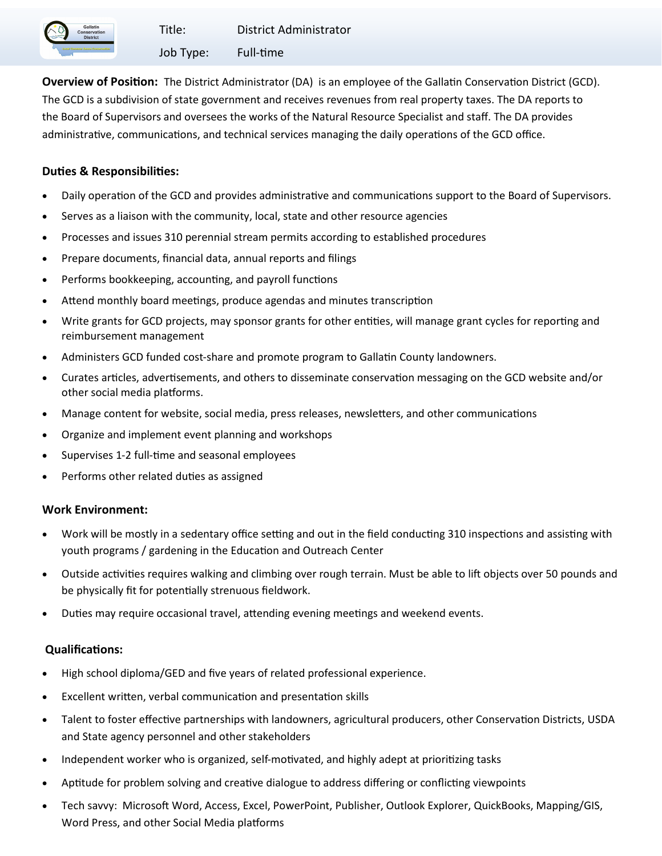

**Overview of Position:** The District Administrator (DA) is an employee of the Gallatin Conservation District (GCD). The GCD is a subdivision of state government and receives revenues from real property taxes. The DA reports to the Board of Supervisors and oversees the works of the Natural Resource Specialist and staff. The DA provides administrative, communications, and technical services managing the daily operations of the GCD office.

# **Duties & Responsibilities:**

- Daily operation of the GCD and provides administrative and communications support to the Board of Supervisors.
- Serves as a liaison with the community, local, state and other resource agencies
- Processes and issues 310 perennial stream permits according to established procedures
- Prepare documents, financial data, annual reports and filings
- Performs bookkeeping, accounting, and payroll functions
- Attend monthly board meetings, produce agendas and minutes transcription
- Write grants for GCD projects, may sponsor grants for other entities, will manage grant cycles for reporting and reimbursement management
- Administers GCD funded cost-share and promote program to Gallatin County landowners.
- Curates articles, advertisements, and others to disseminate conservation messaging on the GCD website and/or other social media platforms.
- Manage content for website, social media, press releases, newsletters, and other communications
- Organize and implement event planning and workshops
- Supervises 1-2 full-time and seasonal employees
- Performs other related duties as assigned

#### **Work Environment:**

- Work will be mostly in a sedentary office setting and out in the field conducting 310 inspections and assisting with youth programs / gardening in the Education and Outreach Center
- Outside activities requires walking and climbing over rough terrain. Must be able to lift objects over 50 pounds and be physically fit for potentially strenuous fieldwork.
- Duties may require occasional travel, attending evening meetings and weekend events.

# **Qualifications:**

- High school diploma/GED and five years of related professional experience.
- Excellent written, verbal communication and presentation skills
- Talent to foster effective partnerships with landowners, agricultural producers, other Conservation Districts, USDA and State agency personnel and other stakeholders
- Independent worker who is organized, self-motivated, and highly adept at prioritizing tasks
- Aptitude for problem solving and creative dialogue to address differing or conflicting viewpoints
- Tech savvy: Microsoft Word, Access, Excel, PowerPoint, Publisher, Outlook Explorer, QuickBooks, Mapping/GIS, Word Press, and other Social Media platforms